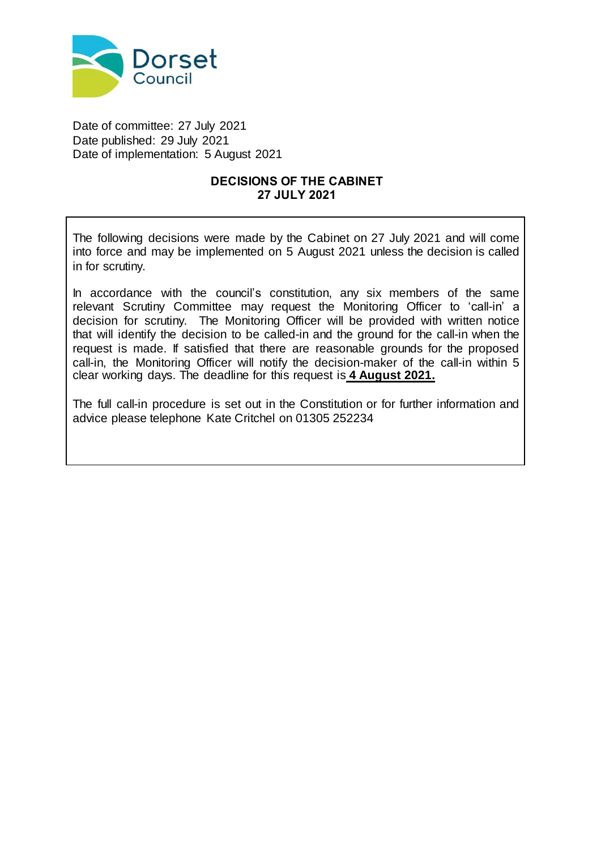

Date of committee: 27 July 2021 Date published: 29 July 2021 Date of implementation: 5 August 2021

### **DECISIONS OF THE CABINET 27 JULY 2021**

The following decisions were made by the Cabinet on 27 July 2021 and will come into force and may be implemented on 5 August 2021 unless the decision is called in for scrutiny.

In accordance with the council's constitution, any six members of the same relevant Scrutiny Committee may request the Monitoring Officer to 'call-in' a decision for scrutiny. The Monitoring Officer will be provided with written notice that will identify the decision to be called-in and the ground for the call-in when the request is made. If satisfied that there are reasonable grounds for the proposed call-in, the Monitoring Officer will notify the decision-maker of the call-in within 5 clear working days. The deadline for this request is **4 August 2021.**

The full call-in procedure is set out in the Constitution or for further information and advice please telephone Kate Critchel on 01305 252234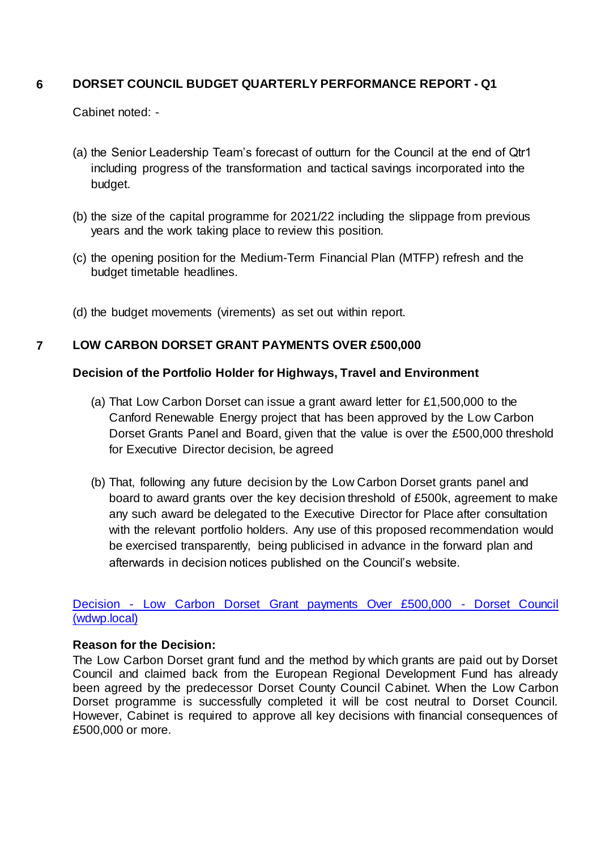## **6 DORSET COUNCIL BUDGET QUARTERLY PERFORMANCE REPORT - Q1**

Cabinet noted: -

- (a) the Senior Leadership Team's forecast of outturn for the Council at the end of Qtr1 including progress of the transformation and tactical savings incorporated into the budget.
- (b) the size of the capital programme for 2021/22 including the slippage from previous years and the work taking place to review this position.
- (c) the opening position for the Medium-Term Financial Plan (MTFP) refresh and the budget timetable headlines.
- (d) the budget movements (virements) as set out within report.

### **7 LOW CARBON DORSET GRANT PAYMENTS OVER £500,000**

### **Decision of the Portfolio Holder for Highways, Travel and Environment**

- (a) That Low Carbon Dorset can issue a grant award letter for £1,500,000 to the Canford Renewable Energy project that has been approved by the Low Carbon Dorset Grants Panel and Board, given that the value is over the £500,000 threshold for Executive Director decision, be agreed
- (b) That, following any future decision by the Low Carbon Dorset grants panel and board to award grants over the key decision threshold of £500k, agreement to make any such award be delegated to the Executive Director for Place after consultation with the relevant portfolio holders. Any use of this proposed recommendation would be exercised transparently, being publicised in advance in the forward plan and afterwards in decision notices published on the Council's website.

Decision - [Low Carbon Dorset Grant payments Over £500,000 -](http://do-modgov.wdwp.local/ieDecisionDetails.aspx?ID=665) Dorset Council [\(wdwp.local\)](http://do-modgov.wdwp.local/ieDecisionDetails.aspx?ID=665)

### **Reason for the Decision:**

The Low Carbon Dorset grant fund and the method by which grants are paid out by Dorset Council and claimed back from the European Regional Development Fund has already been agreed by the predecessor Dorset County Council Cabinet. When the Low Carbon Dorset programme is successfully completed it will be cost neutral to Dorset Council. However, Cabinet is required to approve all key decisions with financial consequences of £500,000 or more.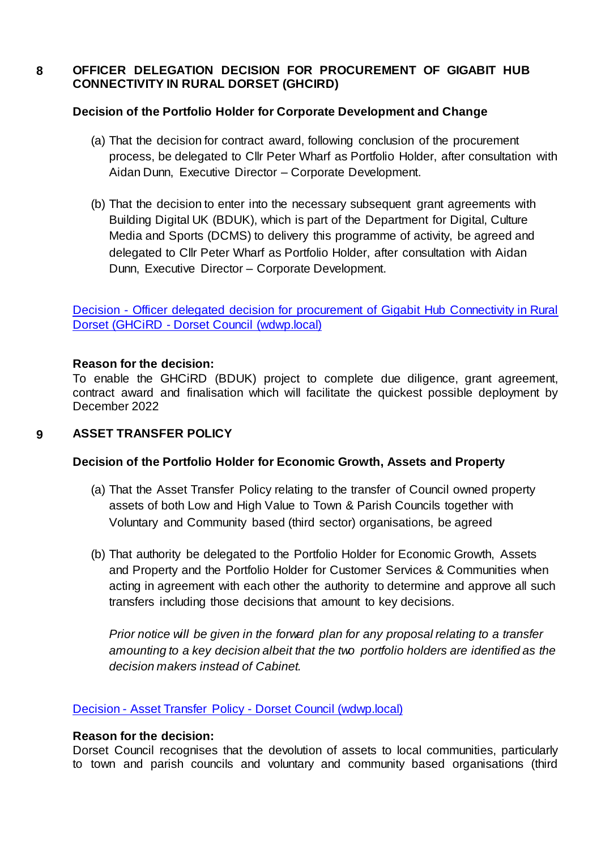### **8 OFFICER DELEGATION DECISION FOR PROCUREMENT OF GIGABIT HUB CONNECTIVITY IN RURAL DORSET (GHCIRD)**

### **Decision of the Portfolio Holder for Corporate Development and Change**

- (a) That the decision for contract award, following conclusion of the procurement process, be delegated to Cllr Peter Wharf as Portfolio Holder, after consultation with Aidan Dunn, Executive Director – Corporate Development.
- (b) That the decision to enter into the necessary subsequent grant agreements with Building Digital UK (BDUK), which is part of the Department for Digital, Culture Media and Sports (DCMS) to delivery this programme of activity, be agreed and delegated to Cllr Peter Wharf as Portfolio Holder, after consultation with Aidan Dunn, Executive Director – Corporate Development.

Decision - [Officer delegated decision for procurement of Gigabit Hub Connectivity in Rural](http://do-modgov.wdwp.local/ieDecisionDetails.aspx?ID=666)  Dorset (GHCiRD - [Dorset Council \(wdwp.local\)](http://do-modgov.wdwp.local/ieDecisionDetails.aspx?ID=666)

### **Reason for the decision:**

To enable the GHCiRD (BDUK) project to complete due diligence, grant agreement, contract award and finalisation which will facilitate the quickest possible deployment by December 2022

### **9 ASSET TRANSFER POLICY**

### **Decision of the Portfolio Holder for Economic Growth, Assets and Property**

- (a) That the Asset Transfer Policy relating to the transfer of Council owned property assets of both Low and High Value to Town & Parish Councils together with Voluntary and Community based (third sector) organisations, be agreed
- (b) That authority be delegated to the Portfolio Holder for Economic Growth, Assets and Property and the Portfolio Holder for Customer Services & Communities when acting in agreement with each other the authority to determine and approve all such transfers including those decisions that amount to key decisions.

*Prior notice will be given in the forward plan for any proposal relating to a transfer amounting to a key decision albeit that the two portfolio holders are identified as the decision makers instead of Cabinet.*

### Decision - Asset Transfer Policy - [Dorset Council \(wdwp.local\)](http://do-modgov.wdwp.local/ieDecisionDetails.aspx?ID=663)

# **Reason for the decision:**

Dorset Council recognises that the devolution of assets to local communities, particularly to town and parish councils and voluntary and community based organisations (third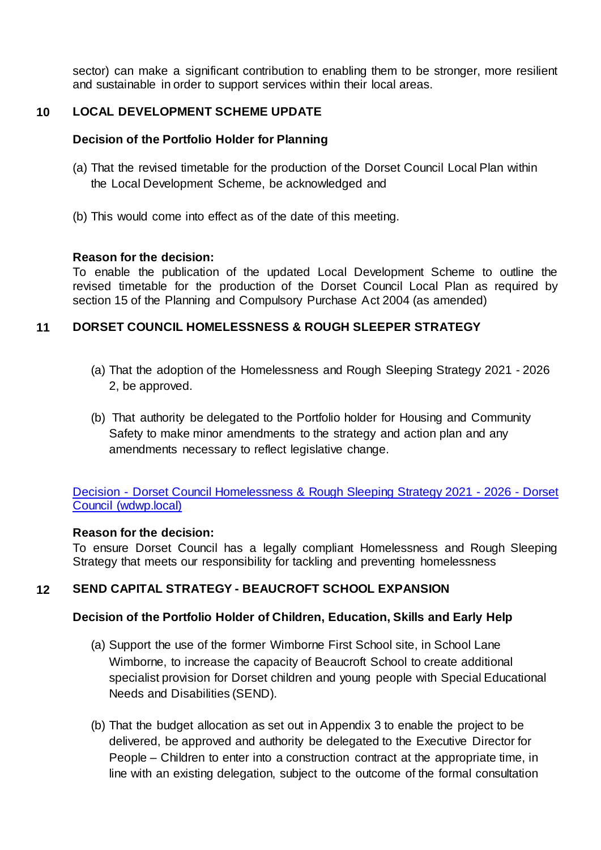sector) can make a significant contribution to enabling them to be stronger, more resilient and sustainable in order to support services within their local areas.

## **10 LOCAL DEVELOPMENT SCHEME UPDATE**

### **Decision of the Portfolio Holder for Planning**

- (a) That the revised timetable for the production of the Dorset Council Local Plan within the Local Development Scheme, be acknowledged and
- (b) This would come into effect as of the date of this meeting.

### **Reason for the decision:**

To enable the publication of the updated Local Development Scheme to outline the revised timetable for the production of the Dorset Council Local Plan as required by section 15 of the Planning and Compulsory Purchase Act 2004 (as amended)

### **11 DORSET COUNCIL HOMELESSNESS & ROUGH SLEEPER STRATEGY**

- (a) That the adoption of the Homelessness and Rough Sleeping Strategy 2021 2026 2, be approved.
- (b) That authority be delegated to the Portfolio holder for Housing and Community Safety to make minor amendments to the strategy and action plan and any amendments necessary to reflect legislative change.

Decision - [Dorset Council Homelessness & Rough](http://do-modgov.wdwp.local/ieDecisionDetails.aspx?ID=664) Sleeping Strategy 2021 - 2026 - Dorset [Council \(wdwp.local\)](http://do-modgov.wdwp.local/ieDecisionDetails.aspx?ID=664)

### **Reason for the decision:**

To ensure Dorset Council has a legally compliant Homelessness and Rough Sleeping Strategy that meets our responsibility for tackling and preventing homelessness

# **12 SEND CAPITAL STRATEGY - BEAUCROFT SCHOOL EXPANSION**

### **Decision of the Portfolio Holder of Children, Education, Skills and Early Help**

- (a) Support the use of the former Wimborne First School site, in School Lane Wimborne, to increase the capacity of Beaucroft School to create additional specialist provision for Dorset children and young people with Special Educational Needs and Disabilities (SEND).
- (b) That the budget allocation as set out in Appendix 3 to enable the project to be delivered, be approved and authority be delegated to the Executive Director for People – Children to enter into a construction contract at the appropriate time, in line with an existing delegation, subject to the outcome of the formal consultation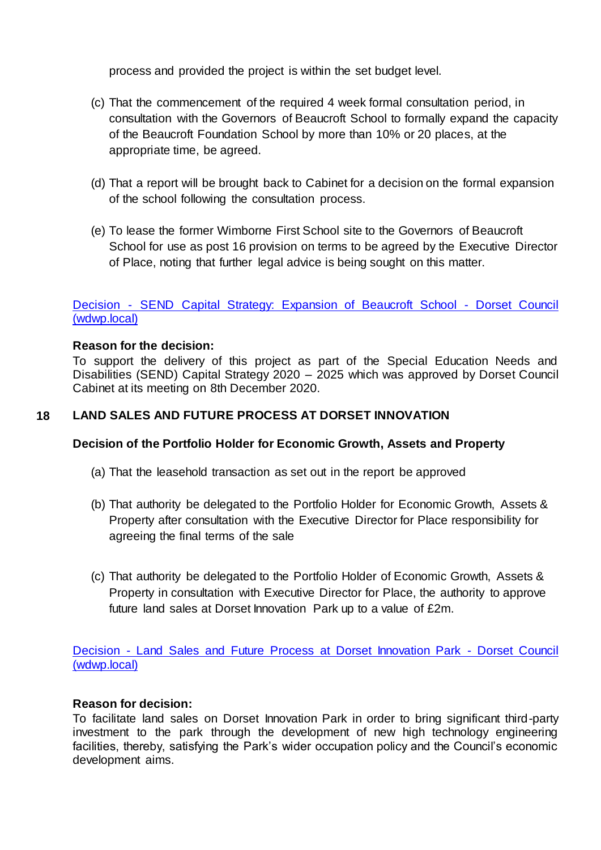process and provided the project is within the set budget level.

- (c) That the commencement of the required 4 week formal consultation period, in consultation with the Governors of Beaucroft School to formally expand the capacity of the Beaucroft Foundation School by more than 10% or 20 places, at the appropriate time, be agreed.
- (d) That a report will be brought back to Cabinet for a decision on the formal expansion of the school following the consultation process.
- (e) To lease the former Wimborne First School site to the Governors of Beaucroft School for use as post 16 provision on terms to be agreed by the Executive Director of Place, noting that further legal advice is being sought on this matter.

### Decision - [SEND Capital Strategy: Expansion of Beaucroft School -](http://do-modgov.wdwp.local/ieDecisionDetails.aspx?ID=667) Dorset Council [\(wdwp.local\)](http://do-modgov.wdwp.local/ieDecisionDetails.aspx?ID=667)

### **Reason for the decision:**

To support the delivery of this project as part of the Special Education Needs and Disabilities (SEND) Capital Strategy 2020 – 2025 which was approved by Dorset Council Cabinet at its meeting on 8th December 2020.

### **18 LAND SALES AND FUTURE PROCESS AT DORSET INNOVATION**

### **Decision of the Portfolio Holder for Economic Growth, Assets and Property**

- (a) That the leasehold transaction as set out in the report be approved
- (b) That authority be delegated to the Portfolio Holder for Economic Growth, Assets & Property after consultation with the Executive Director for Place responsibility for agreeing the final terms of the sale
- (c) That authority be delegated to the Portfolio Holder of Economic Growth, Assets & Property in consultation with Executive Director for Place, the authority to approve future land sales at Dorset Innovation Park up to a value of £2m.

Decision - [Land Sales and Future Process at Dorset Innovation Park -](http://do-modgov.wdwp.local/ieDecisionDetails.aspx?ID=668) Dorset Council [\(wdwp.local\)](http://do-modgov.wdwp.local/ieDecisionDetails.aspx?ID=668)

### **Reason for decision:**

To facilitate land sales on Dorset Innovation Park in order to bring significant third-party investment to the park through the development of new high technology engineering facilities, thereby, satisfying the Park's wider occupation policy and the Council's economic development aims.